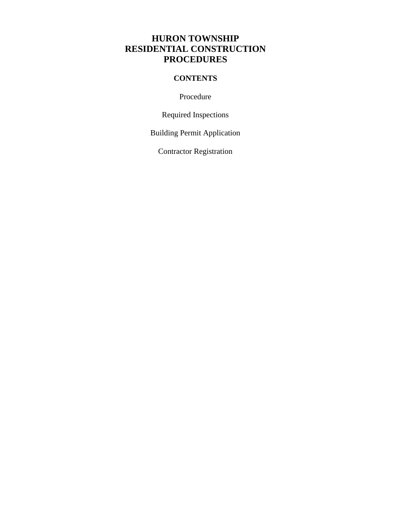# **HURON TOWNSHIP RESIDENTIAL CONSTRUCTION PROCEDURES**

# **CONTENTS**

Procedure

Required Inspections

Building Permit Application

Contractor Registration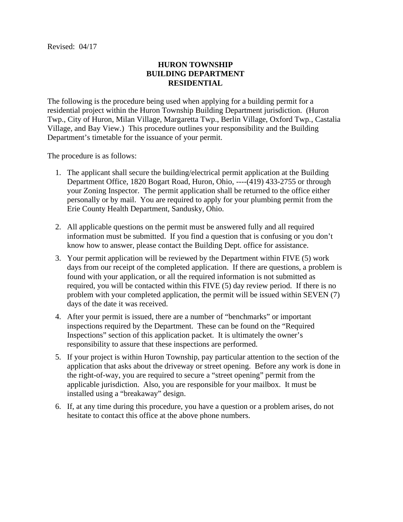## **HURON TOWNSHIP BUILDING DEPARTMENT RESIDENTIAL**

The following is the procedure being used when applying for a building permit for a residential project within the Huron Township Building Department jurisdiction. (Huron Twp., City of Huron, Milan Village, Margaretta Twp., Berlin Village, Oxford Twp., Castalia Village, and Bay View.) This procedure outlines your responsibility and the Building Department's timetable for the issuance of your permit.

The procedure is as follows:

- 1. The applicant shall secure the building/electrical permit application at the Building Department Office, 1820 Bogart Road, Huron, Ohio, ----(419) 433-2755 or through your Zoning Inspector. The permit application shall be returned to the office either personally or by mail. You are required to apply for your plumbing permit from the Erie County Health Department, Sandusky, Ohio.
- 2. All applicable questions on the permit must be answered fully and all required information must be submitted. If you find a question that is confusing or you don't know how to answer, please contact the Building Dept. office for assistance.
- 3. Your permit application will be reviewed by the Department within FIVE (5) work days from our receipt of the completed application. If there are questions, a problem is found with your application, or all the required information is not submitted as required, you will be contacted within this FIVE (5) day review period. If there is no problem with your completed application, the permit will be issued within SEVEN (7) days of the date it was received.
- 4. After your permit is issued, there are a number of "benchmarks" or important inspections required by the Department. These can be found on the "Required Inspections" section of this application packet. It is ultimately the owner's responsibility to assure that these inspections are performed.
- 5. If your project is within Huron Township, pay particular attention to the section of the application that asks about the driveway or street opening. Before any work is done in the right-of-way, you are required to secure a "street opening" permit from the applicable jurisdiction. Also, you are responsible for your mailbox. It must be installed using a "breakaway" design.
- 6. If, at any time during this procedure, you have a question or a problem arises, do not hesitate to contact this office at the above phone numbers.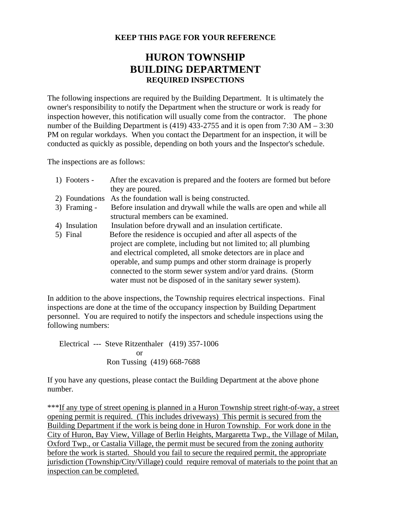## **KEEP THIS PAGE FOR YOUR REFERENCE**

# **HURON TOWNSHIP BUILDING DEPARTMENT REQUIRED INSPECTIONS**

The following inspections are required by the Building Department. It is ultimately the owner's responsibility to notify the Department when the structure or work is ready for inspection however, this notification will usually come from the contractor. The phone number of the Building Department is (419) 433-2755 and it is open from 7:30 AM – 3:30 PM on regular workdays. When you contact the Department for an inspection, it will be conducted as quickly as possible, depending on both yours and the Inspector's schedule.

The inspections are as follows:

| 1) Footers -   | After the excavation is prepared and the footers are formed but before |
|----------------|------------------------------------------------------------------------|
|                | they are poured.                                                       |
| 2) Foundations | As the foundation wall is being constructed.                           |
| 3) Framing -   | Before insulation and drywall while the walls are open and while all   |
|                | structural members can be examined.                                    |
| 4) Insulation  | Insulation before drywall and an insulation certificate.               |
| 5) Final       | Before the residence is occupied and after all aspects of the          |
|                | project are complete, including but not limited to; all plumbing       |
|                | and electrical completed, all smoke detectors are in place and         |
|                | operable, and sump pumps and other storm drainage is properly          |
|                | connected to the storm sewer system and/or yard drains. (Storm         |
|                | water must not be disposed of in the sanitary sewer system).           |

In addition to the above inspections, the Township requires electrical inspections. Final inspections are done at the time of the occupancy inspection by Building Department personnel. You are required to notify the inspectors and schedule inspections using the following numbers:

Electrical --- Steve Ritzenthaler (419) 357-1006 or Ron Tussing (419) 668-7688

If you have any questions, please contact the Building Department at the above phone number.

\*\*\*If any type of street opening is planned in a Huron Township street right-of-way, a street opening permit is required. (This includes driveways) This permit is secured from the Building Department if the work is being done in Huron Township. For work done in the City of Huron, Bay View, Village of Berlin Heights, Margaretta Twp., the Village of Milan, Oxford Twp., or Castalia Village, the permit must be secured from the zoning authority before the work is started. Should you fail to secure the required permit, the appropriate jurisdiction (Township/City/Village) could require removal of materials to the point that an inspection can be completed.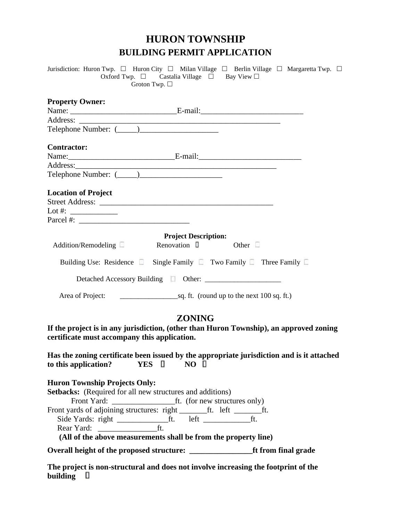# **HURON TOWNSHIP BUILDING PERMIT APPLICATION**

| Jurisdiction: Huron Twp. □ Huron City □ Milan Village □ Berlin Village □ Margaretta Twp. □                                                                                                                                          | Oxford Twp. $\square$ Castalia Village $\square$ Bay View $\square$<br>Groton Twp. $\square$ |  |
|-------------------------------------------------------------------------------------------------------------------------------------------------------------------------------------------------------------------------------------|----------------------------------------------------------------------------------------------|--|
| <b>Property Owner:</b>                                                                                                                                                                                                              |                                                                                              |  |
|                                                                                                                                                                                                                                     |                                                                                              |  |
|                                                                                                                                                                                                                                     |                                                                                              |  |
|                                                                                                                                                                                                                                     |                                                                                              |  |
| <b>Contractor:</b>                                                                                                                                                                                                                  |                                                                                              |  |
|                                                                                                                                                                                                                                     |                                                                                              |  |
|                                                                                                                                                                                                                                     |                                                                                              |  |
|                                                                                                                                                                                                                                     |                                                                                              |  |
| <b>Location of Project</b><br>Lot #: $\qquad \qquad$                                                                                                                                                                                |                                                                                              |  |
|                                                                                                                                                                                                                                     |                                                                                              |  |
| Addition/Remodeling Renovation 1 Other                                                                                                                                                                                              | <b>Project Description:</b>                                                                  |  |
| Building Use: Residence <b>E</b> Single Family <b>E</b> Two Family <b>E</b> Three Family <b>E</b>                                                                                                                                   |                                                                                              |  |
|                                                                                                                                                                                                                                     |                                                                                              |  |
|                                                                                                                                                                                                                                     |                                                                                              |  |
| If the project is in any jurisdiction, (other than Huron Township), an approved zoning<br>certificate must accompany this application.<br>Has the zoning certificate been issued by the appropriate jurisdiction and is it attached | <b>ZONING</b>                                                                                |  |
| to this application?    INC LES IN NO II                                                                                                                                                                                            |                                                                                              |  |
| <b>Huron Township Projects Only:</b><br><b>Setbacks:</b> (Required for all new structures and additions)                                                                                                                            |                                                                                              |  |
| (All of the above measurements shall be from the property line)                                                                                                                                                                     |                                                                                              |  |
|                                                                                                                                                                                                                                     |                                                                                              |  |
|                                                                                                                                                                                                                                     |                                                                                              |  |

**The project is non-structural and does not involve increasing the footprint of the building**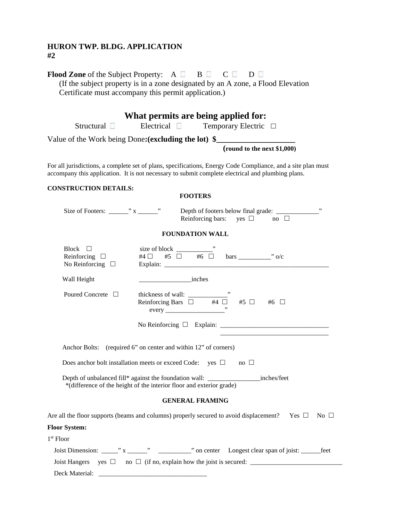## **HURON TWP. BLDG. APPLICATION #2**

|                                                             | What permits are being applied for:                                                                                                                                                                                                                                                                                             |
|-------------------------------------------------------------|---------------------------------------------------------------------------------------------------------------------------------------------------------------------------------------------------------------------------------------------------------------------------------------------------------------------------------|
|                                                             | Structural ■ Electrical ■ Temporary Electric □                                                                                                                                                                                                                                                                                  |
|                                                             | Value of the Work being Done: (excluding the lot) \$_____________________________<br>(round to the next \$1,000)                                                                                                                                                                                                                |
|                                                             | For all jurisdictions, a complete set of plans, specifications, Energy Code Compliance, and a site plan must<br>accompany this application. It is not necessary to submit complete electrical and plumbing plans.                                                                                                               |
| <b>CONSTRUCTION DETAILS:</b>                                | <b>FOOTERS</b>                                                                                                                                                                                                                                                                                                                  |
|                                                             | Reinforcing bars: yes $\Box$ no $\Box$                                                                                                                                                                                                                                                                                          |
|                                                             | <b>FOUNDATION WALL</b>                                                                                                                                                                                                                                                                                                          |
| Block $\Box$<br>Reinforcing $\Box$<br>No Reinforcing $\Box$ |                                                                                                                                                                                                                                                                                                                                 |
| Wall Height                                                 | <i>inches</i>                                                                                                                                                                                                                                                                                                                   |
| Poured Concrete □                                           | thickness of wall: $\frac{1}{\Box}$<br>$\frac{1}{\Box}$<br>$\frac{1}{\Box}$<br>$\frac{1}{\Box}$<br>$\frac{1}{\Box}$<br>$\frac{1}{\Box}$<br>$\frac{1}{\Box}$<br>$\frac{1}{\Box}$<br>$\frac{1}{\Box}$<br>$\frac{1}{\Box}$<br>$\frac{1}{\Box}$<br>$\frac{1}{\Box}$<br>$\frac{1}{\Box}$<br>$\frac{1}{\Box}$<br>$\frac{1}{\Box}$<br> |
|                                                             |                                                                                                                                                                                                                                                                                                                                 |
|                                                             | Anchor Bolts: (required 6" on center and within 12" of corners)                                                                                                                                                                                                                                                                 |
|                                                             | Does anchor bolt installation meets or exceed Code: yes $\Box$ no $\Box$                                                                                                                                                                                                                                                        |
|                                                             | *(difference of the height of the interior floor and exterior grade)                                                                                                                                                                                                                                                            |
|                                                             | <b>GENERAL FRAMING</b>                                                                                                                                                                                                                                                                                                          |
|                                                             | Are all the floor supports (beams and columns) properly secured to avoid displacement? Yes $\square$ No $\square$                                                                                                                                                                                                               |
| <b>Floor System:</b>                                        |                                                                                                                                                                                                                                                                                                                                 |
| 1 <sup>st</sup> Floor                                       |                                                                                                                                                                                                                                                                                                                                 |
|                                                             |                                                                                                                                                                                                                                                                                                                                 |
|                                                             |                                                                                                                                                                                                                                                                                                                                 |
|                                                             |                                                                                                                                                                                                                                                                                                                                 |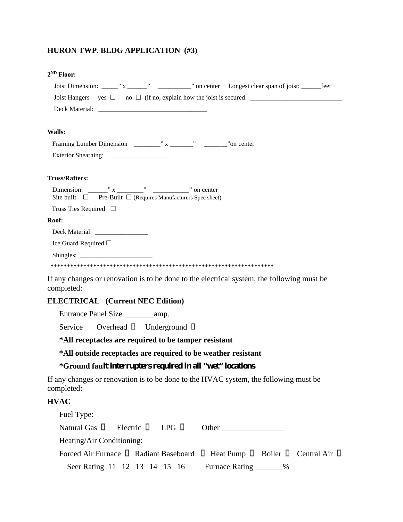#### **HURON TWP. BLDG APPLICATION (#3)**

| $2^{ND}$ Floor:                                                                                          |
|----------------------------------------------------------------------------------------------------------|
|                                                                                                          |
|                                                                                                          |
|                                                                                                          |
| Walls:                                                                                                   |
|                                                                                                          |
|                                                                                                          |
| <b>Truss/Rafters:</b>                                                                                    |
| Site built $\Box$ Pre-Built $\Box$ (Requires Manufacturers Spec sheet)                                   |
| Truss Ties Required $\Box$                                                                               |
| Roof:                                                                                                    |
|                                                                                                          |
| Ice Guard Required □                                                                                     |
| $\text{Shingles: }$                                                                                      |
|                                                                                                          |
| If any changes or renovation is to be done to the electrical system, the following must be<br>completed: |

#### **ELECTRICAL (Current NEC Edition)**

Entrance Panel Size \_\_\_\_\_\_\_amp.

Service Overhead **U** Underground **U** 

**\*All receptacles are required to be tamper resistant**

**\*All outside receptacles are required to be weather resistant**

## **\*Ground fault interrupters required in all "wet" locations**

If any changes or renovation is to be done to the HVAC system, the following must be completed:

#### **HVAC**

| Fuel Type:                                    |  |  |                                                                             |  |
|-----------------------------------------------|--|--|-----------------------------------------------------------------------------|--|
| Natural Gas $\Box$ Electric $\Box$ LPG $\Box$ |  |  | Other                                                                       |  |
| Heating/Air Conditioning:                     |  |  |                                                                             |  |
|                                               |  |  | Forced Air Furnace I Radiant Baseboard I Heat Pump I Boiler I Central Air I |  |
| Seer Rating 11 12 13 14 15 16                 |  |  | Furnace Rating ________%                                                    |  |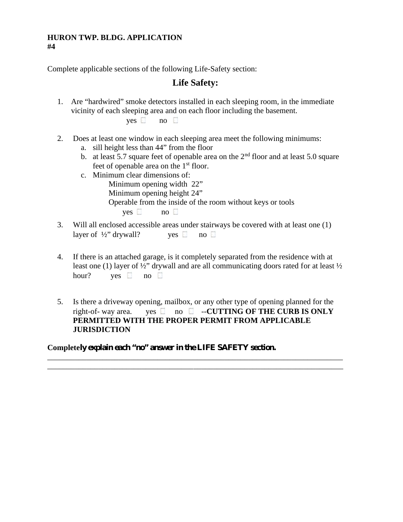#### **HURON TWP. BLDG. APPLICATION #4**

Complete applicable sections of the following Life-Safety section:

# **Life Safety:**

1. Are "hardwired" smoke detectors installed in each sleeping room, in the immediate vicinity of each sleeping area and on each floor including the basement.

 $\mathsf{ves} \quad \mathsf{no} \quad \Box$ 

- 2. Does at least one window in each sleeping area meet the following minimums:
	- a. sill height less than 44" from the floor
	- b. at least 5.7 square feet of openable area on the  $2<sup>nd</sup>$  floor and at least 5.0 square feet of openable area on the  $1<sup>st</sup>$  floor.
	- c. Minimum clear dimensions of: Minimum opening width 22" Minimum opening height 24" Operable from the inside of the room without keys or tools  $ves \t on \t 0$
- 3. Will all enclosed accessible areas under stairways be covered with at least one (1) layer of  $\frac{1}{2}$  drywall? yes  $\Box$  no  $\Box$
- 4. If there is an attached garage, is it completely separated from the residence with at least one (1) layer of ½" drywall and are all communicating doors rated for at least ½ hour? yes no  $\Box$
- 5. Is there a driveway opening, mailbox, or any other type of opening planned for the right-of- way area. ves  $\Box$  no  $\Box$  -**-CUTTING OF THE CURB IS ONLY PERMITTED WITH THE PROPER PERMIT FROM APPLICABLE JURISDICTION**

\_\_\_\_\_\_\_\_\_\_\_\_\_\_\_\_\_\_\_\_\_\_\_\_\_\_\_\_\_\_\_\_\_\_\_\_\_\_\_\_\_\_\_\_\_\_\_\_\_\_\_\_\_\_\_\_\_\_\_\_\_\_\_\_\_\_\_\_\_\_\_\_\_\_\_

\_\_\_\_\_\_\_\_\_\_\_\_\_\_\_\_\_\_\_\_\_\_\_\_\_\_\_\_\_\_\_\_\_\_\_\_\_\_\_\_\_\_\_\_\_\_\_\_\_\_\_\_\_\_\_\_\_\_\_\_\_\_\_\_\_\_\_\_\_\_\_\_\_\_\_

**Completely explain each "no" answer in the LIFE SAFETY section.**